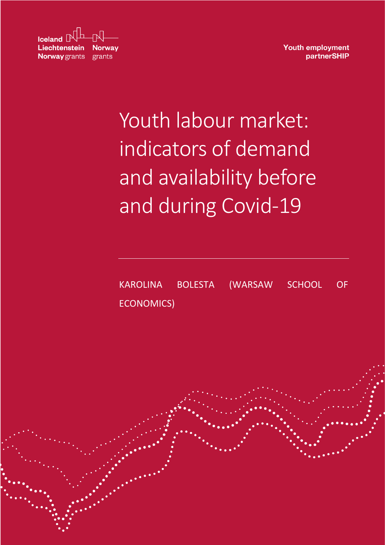| $\sqrt{\frac{1}{2} \cdot \frac{1}{2}}$ |  |
|----------------------------------------|--|
| <b>Liechtenstein Norway</b>            |  |
| <b>Norway</b> grants grants            |  |

**Youth employment** partnerSHIP

# Youth labour market: indicators of demand and availability before and during Covid-19

KAROLINA BOLESTA (WARSAW SCHOOL OF ECONOMICS)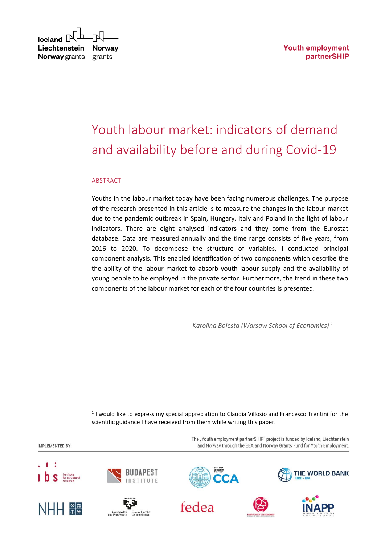**Youth employment** partnerSHIP

#### $I$ celand  $[$ Liechtenstein **Norway** Norway grants grants

# Youth labour market: indicators of demand and availability before and during Covid-19

#### ABSTRACT

Youths in the labour market today have been facing numerous challenges. The purpose of the research presented in this article is to measure the changes in the labour market due to the pandemic outbreak in Spain, Hungary, Italy and Poland in the light of labour indicators. There are eight analysed indicators and they come from the Eurostat database. Data are measured annually and the time range consists of five years, from 2016 to 2020. To decompose the structure of variables, I conducted principal component analysis. This enabled identification of two components which describe the the ability of the labour market to absorb youth labour supply and the availability of young people to be employed in the private sector. Furthermore, the trend in these two components of the labour market for each of the four countries is presented.

*Karolina Bolesta (Warsaw School of Economics) <sup>1</sup>*

<sup>1</sup> I would like to express my special appreciation to Claudia Villosio and Francesco Trentini for the scientific guidance I have received from them while writing this paper.

The "Youth employment partnerSHIP" project is funded by Iceland, Liechtenstein IMPLEMENTED BY: and Norway through the EEA and Norway Grants Fund for Youth Employment. THE WORLD BANK fedea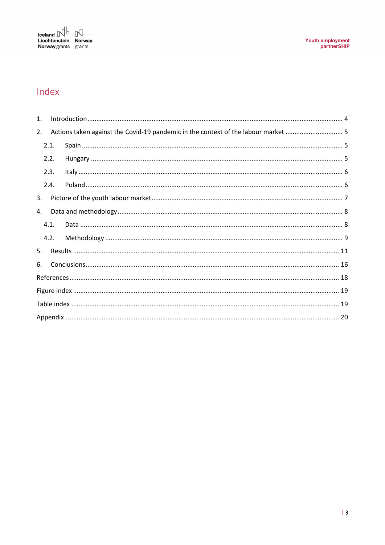

## Index

| 1. |      |                                                                                    |  |  |  |
|----|------|------------------------------------------------------------------------------------|--|--|--|
| 2. |      | Actions taken against the Covid-19 pandemic in the context of the labour market  5 |  |  |  |
|    | 2.1. |                                                                                    |  |  |  |
|    | 2.2. |                                                                                    |  |  |  |
|    | 2.3. |                                                                                    |  |  |  |
|    | 2.4. |                                                                                    |  |  |  |
| 3. |      |                                                                                    |  |  |  |
| 4. |      |                                                                                    |  |  |  |
|    | 4.1. |                                                                                    |  |  |  |
|    | 4.2. |                                                                                    |  |  |  |
| 5. |      |                                                                                    |  |  |  |
| 6. |      |                                                                                    |  |  |  |
|    |      |                                                                                    |  |  |  |
|    |      |                                                                                    |  |  |  |
|    |      |                                                                                    |  |  |  |
|    |      |                                                                                    |  |  |  |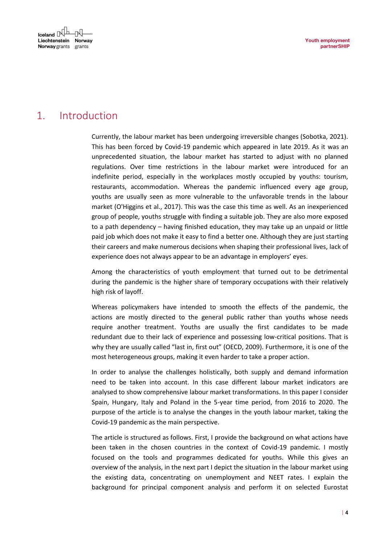## <span id="page-3-0"></span>1. Introduction

Currently, the labour market has been undergoing irreversible changes (Sobotka, 2021). This has been forced by Covid-19 pandemic which appeared in late 2019. As it was an unprecedented situation, the labour market has started to adjust with no planned regulations. Over time restrictions in the labour market were introduced for an indefinite period, especially in the workplaces mostly occupied by youths: tourism, restaurants, accommodation. Whereas the pandemic influenced every age group, youths are usually seen as more vulnerable to the unfavorable trends in the labour market (O'Higgins et al., 2017). This was the case this time as well. As an inexperienced group of people, youths struggle with finding a suitable job. They are also more exposed to a path dependency – having finished education, they may take up an unpaid or little paid job which does not make it easy to find a better one. Although they are just starting their careers and make numerous decisions when shaping their professional lives, lack of experience does not always appear to be an advantage in employers' eyes.

Among the characteristics of youth employment that turned out to be detrimental during the pandemic is the higher share of temporary occupations with their relatively high risk of layoff.

Whereas policymakers have intended to smooth the effects of the pandemic, the actions are mostly directed to the general public rather than youths whose needs require another treatment. Youths are usually the first candidates to be made redundant due to their lack of experience and possessing low-critical positions. That is why they are usually called "last in, first out" (OECD, 2009). Furthermore, it is one of the most heterogeneous groups, making it even harder to take a proper action.

In order to analyse the challenges holistically, both supply and demand information need to be taken into account. In this case different labour market indicators are analysed to show comprehensive labour market transformations. In this paper I consider Spain, Hungary, Italy and Poland in the 5-year time period, from 2016 to 2020. The purpose of the article is to analyse the changes in the youth labour market, taking the Covid-19 pandemic as the main perspective.

The article is structured as follows. First, I provide the background on what actions have been taken in the chosen countries in the context of Covid-19 pandemic. I mostly focused on the tools and programmes dedicated for youths. While this gives an overview of the analysis, in the next part I depict the situation in the labour market using the existing data, concentrating on unemployment and NEET rates. I explain the background for principal component analysis and perform it on selected Eurostat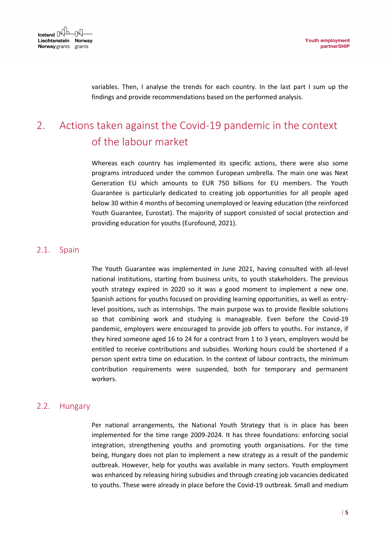variables. Then, I analyse the trends for each country. In the last part I sum up the findings and provide recommendations based on the performed analysis.

# <span id="page-4-0"></span>2. Actions taken against the Covid-19 pandemic in the context of the labour market

Whereas each country has implemented its specific actions, there were also some programs introduced under the common European umbrella. The main one was Next Generation EU which amounts to EUR 750 billions for EU members. The Youth Guarantee is particularly dedicated to creating job opportunities for all people aged below 30 within 4 months of becoming unemployed or leaving education (the reinforced Youth Guarantee, Eurostat). The majority of support consisted of social protection and providing education for youths (Eurofound, 2021).

## <span id="page-4-1"></span>2.1. Spain

The Youth Guarantee was implemented in June 2021, having consulted with all-level national institutions, starting from business units, to youth stakeholders. The previous youth strategy expired in 2020 so it was a good moment to implement a new one. Spanish actions for youths focused on providing learning opportunities, as well as entrylevel positions, such as internships. The main purpose was to provide flexible solutions so that combining work and studying is manageable. Even before the Covid-19 pandemic, employers were encouraged to provide job offers to youths. For instance, if they hired someone aged 16 to 24 for a contract from 1 to 3 years, employers would be entitled to receive contributions and subsidies. Working hours could be shortened if a person spent extra time on education. In the context of labour contracts, the minimum contribution requirements were suspended, both for temporary and permanent workers.

## <span id="page-4-2"></span>2.2. Hungary

Per national arrangements, the National Youth Strategy that is in place has been implemented for the time range 2009-2024. It has three foundations: enforcing social integration, strengthening youths and promoting youth organisations. For the time being, Hungary does not plan to implement a new strategy as a result of the pandemic outbreak. However, help for youths was available in many sectors. Youth employment was enhanced by releasing hiring subsidies and through creating job vacancies dedicated to youths. These were already in place before the Covid-19 outbreak. Small and medium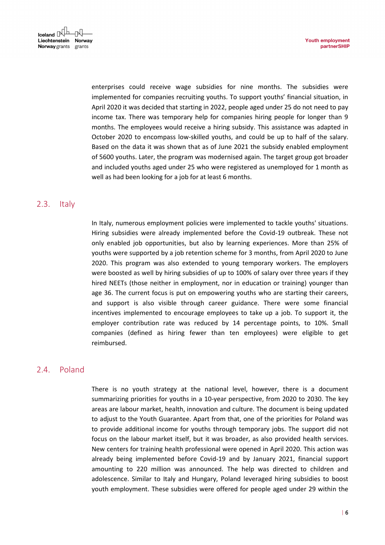enterprises could receive wage subsidies for nine months. The subsidies were implemented for companies recruiting youths. To support youths' financial situation, in April 2020 it was decided that starting in 2022, people aged under 25 do not need to pay income tax. There was temporary help for companies hiring people for longer than 9 months. The employees would receive a hiring subsidy. This assistance was adapted in October 2020 to encompass low-skilled youths, and could be up to half of the salary. Based on the data it was shown that as of June 2021 the subsidy enabled employment of 5600 youths. Later, the program was modernised again. The target group got broader and included youths aged under 25 who were registered as unemployed for 1 month as well as had been looking for a job for at least 6 months.

#### <span id="page-5-0"></span>2.3. Italy

In Italy, numerous employment policies were implemented to tackle youths' situations. Hiring subsidies were already implemented before the Covid-19 outbreak. These not only enabled job opportunities, but also by learning experiences. More than 25% of youths were supported by a job retention scheme for 3 months, from April 2020 to June 2020. This program was also extended to young temporary workers. The employers were boosted as well by hiring subsidies of up to 100% of salary over three years if they hired NEETs (those neither in employment, nor in education or training) younger than age 36. The current focus is put on empowering youths who are starting their careers, and support is also visible through career guidance. There were some financial incentives implemented to encourage employees to take up a job. To support it, the employer contribution rate was reduced by 14 percentage points, to 10%. Small companies (defined as hiring fewer than ten employees) were eligible to get reimbursed.

#### <span id="page-5-1"></span>2.4. Poland

There is no youth strategy at the national level, however, there is a document summarizing priorities for youths in a 10-year perspective, from 2020 to 2030. The key areas are labour market, health, innovation and culture. The document is being updated to adjust to the Youth Guarantee. Apart from that, one of the priorities for Poland was to provide additional income for youths through temporary jobs. The support did not focus on the labour market itself, but it was broader, as also provided health services. New centers for training health professional were opened in April 2020. This action was already being implemented before Covid-19 and by January 2021, financial support amounting to 220 million was announced. The help was directed to children and adolescence. Similar to Italy and Hungary, Poland leveraged hiring subsidies to boost youth employment. These subsidies were offered for people aged under 29 within the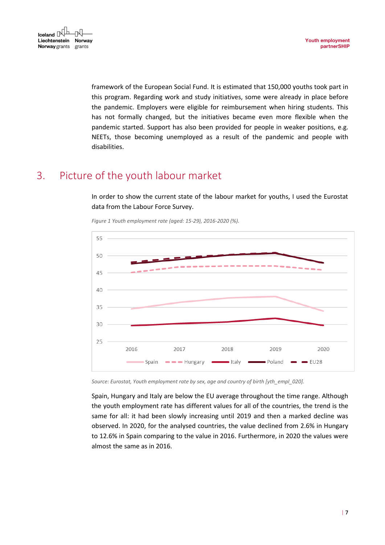

framework of the European Social Fund. It is estimated that 150,000 youths took part in this program. Regarding work and study initiatives, some were already in place before the pandemic. Employers were eligible for reimbursement when hiring students. This has not formally changed, but the initiatives became even more flexible when the pandemic started. Support has also been provided for people in weaker positions, e.g. NEETs, those becoming unemployed as a result of the pandemic and people with disabilities.

## <span id="page-6-1"></span><span id="page-6-0"></span>3. Picture of the youth labour market

In order to show the current state of the labour market for youths, I used the Eurostat data from the Labour Force Survey.



*Figure 1 Youth employment rate (aged: 15-29), 2016-2020 (%).*

*Source: Eurostat, Youth employment rate by sex, age and country of birth [yth\_empl\_020].*

Spain, Hungary and Italy are below the EU average throughout the time range. Although the youth employment rate has different values for all of the countries, the trend is the same for all: it had been slowly increasing until 2019 and then a marked decline was observed. In 2020, for the analysed countries, the value declined from 2.6% in Hungary to 12.6% in Spain comparing to the value in 2016. Furthermore, in 2020 the values were almost the same as in 2016.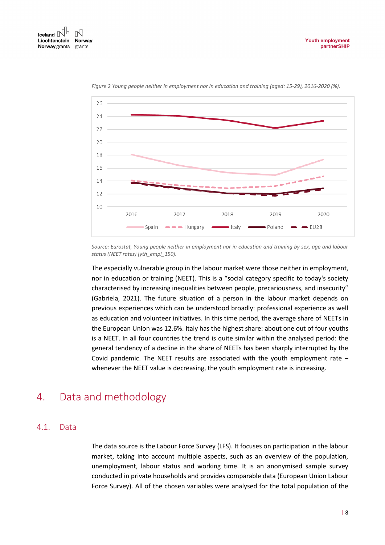<span id="page-7-2"></span>

*Figure 2 Young people neither in employment nor in education and training (aged: 15-29), 2016-2020 (%).*

*Source: Eurostat, Young people neither in employment nor in education and training by sex, age and labour status (NEET rates) [yth\_empl\_150].*

The especially vulnerable group in the labour market were those neither in employment, nor in education or training (NEET). This is a "social category specific to today's society characterised by increasing inequalities between people, precariousness, and insecurity" (Gabriela, 2021). The future situation of a person in the labour market depends on previous experiences which can be understood broadly: professional experience as well as education and volunteer initiatives. In this time period, the average share of NEETs in the European Union was 12.6%. Italy has the highest share: about one out of four youths is a NEET. In all four countries the trend is quite similar within the analysed period: the general tendency of a decline in the share of NEETs has been sharply interrupted by the Covid pandemic. The NEET results are associated with the youth employment rate – whenever the NEET value is decreasing, the youth employment rate is increasing.

## <span id="page-7-0"></span>4. Data and methodology

#### <span id="page-7-1"></span>4.1. Data

The data source is the Labour Force Survey (LFS). It focuses on participation in the labour market, taking into account multiple aspects, such as an overview of the population, unemployment, labour status and working time. It is an anonymised sample survey conducted in private households and provides comparable data (European Union Labour Force Survey). All of the chosen variables were analysed for the total population of the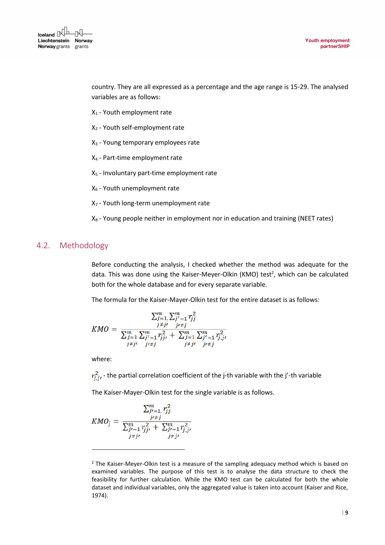country. They are all expressed as a percentage and the age range is 15-29. The analysed variables are as follows:

- X<sup>1</sup> Youth employment rate
- X<sup>2</sup> Youth self-employment rate
- X<sub>3</sub> Young temporary employees rate
- X<sup>4</sup> Part-time employment rate
- X<sup>5</sup> Involuntary part-time employment rate
- X<sup>6</sup> Youth unemployment rate
- X<sub>7</sub> Youth long-term unemployment rate
- $X_8$  Young people neither in employment nor in education and training (NEET rates)

## <span id="page-8-0"></span>4.2. Methodology

Before conducting the analysis, I checked whether the method was adequate for the data. This was done using the Kaiser-Meyer-Olkin (KMO) test<sup>2</sup>, which can be calculated both for the whole database and for every separate variable.

The formula for the Kaiser-Mayer-Olkin test for the entire dataset is as follows:

$$
KMO = \frac{\sum_{j=1}^{m} \sum_{j'-1}^{m} r_{jj}^2}{\sum_{j=1}^{m} \sum_{j'-1}^{m} r_{jj'}^2 + \sum_{j=1}^{m} \sum_{j'-1}^{m} r_{jj'}^2}
$$
  

$$
\sum_{j \neq j'}^{m} r_{j \neq j}^2 + \sum_{j'+1}^{m} \sum_{j'+j}^{m} r_{j \neq j}^2
$$

where:

 $r_{i,j}^2$  - the partial correlation coefficient of the j-th variable with the j'-th variable

The Kaiser-Mayer-Olkin test for the single variable is as follows.

$$
KMO_j = \frac{\sum_{j\prime=1}^m r_{jj}^2}{\sum_{j\prime=1}^m r_{jj\prime}^2 + \sum_{j\prime=1}^m r_{j\prime}^2 \over \sum_{j\neq j\prime}^m + \sum_{j\neq j\prime}^m r_{j\neq j\prime}^2}
$$

 $2$  The Kaiser-Meyer-Olkin test is a measure of the sampling adequacy method which is based on examined variables. The purpose of this test is to analyse the data structure to check the feasibility for further calculation. While the KMO test can be calculated for both the whole dataset and individual variables, only the aggregated value is taken into account (Kaiser and Rice, 1974).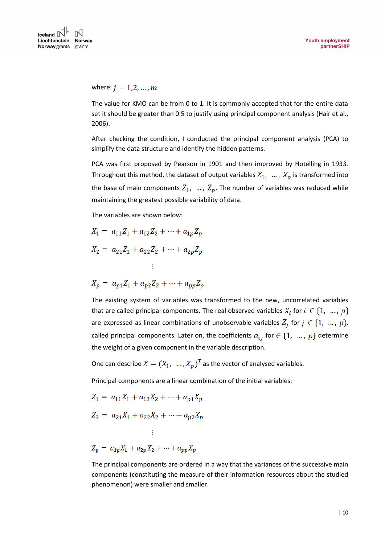where:  $j = 1, 2, ..., m$ 

The value for KMO can be from 0 to 1. It is commonly accepted that for the entire data set it should be greater than 0.5 to justify using principal component analysis (Hair et al., 2006).

After checking the condition, I conducted the principal component analysis (PCA) to simplify the data structure and identify the hidden patterns.

PCA was first proposed by Pearson in 1901 and then improved by Hotelling in 1933. Throughout this method, the dataset of output variables  $X_1$ , ...,  $X_p$  is transformed into the base of main components  $Z_1$ , ...,  $Z_p$ . The number of variables was reduced while maintaining the greatest possible variability of data.

The variables are shown below:

$$
X_1 = a_{11}Z_1 + a_{12}Z_2 + \dots + a_{1p}Z_p
$$
  
\n
$$
X_2 = a_{21}Z_1 + a_{22}Z_2 + \dots + a_{2p}Z_p
$$
  
\n
$$
\vdots
$$
  
\n
$$
X_p = a_{p1}Z_1 + a_{p2}Z_2 + \dots + a_{pp}Z_p
$$

The existing system of variables was transformed to the new, uncorrelated variables that are called principal components. The real observed variables 
$$
X_i
$$
 for  $i \in \{1, ..., p\}$  are expressed as linear combinations of unobservable variables  $Z_j$  for  $j \in \{1, ..., p\}$ , called principal components. Later on, the coefficients  $a_{ij}$  for  $\in \{1, ..., p\}$  determine the weight of a given component in the variable description.

One can describe  $X = (X_1, ..., X_p)^T$  as the vector of analysed variables.

Principal components are a linear combination of the initial variables:

$$
Z_1 = a_{11}X_1 + a_{12}X_2 + \dots + a_{p1}X_p
$$
  
\n
$$
Z_2 = a_{21}X_1 + a_{22}X_2 + \dots + a_{p2}X_p
$$
  
\n
$$
\vdots
$$
  
\n
$$
Z_p = a_{1p}X_1 + a_{2p}X_2 + \dots + a_{pp}X_p
$$

The principal components are ordered in a way that the variances of the successive main components (constituting the measure of their information resources about the studied phenomenon) were smaller and smaller.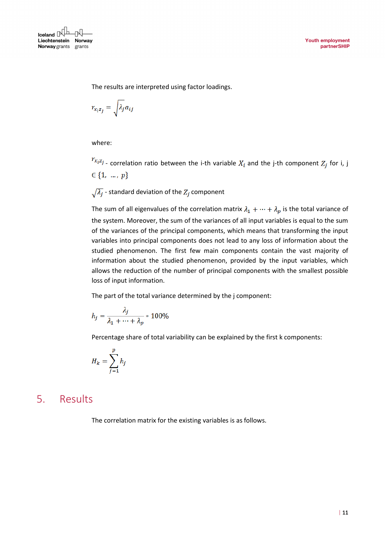

The results are interpreted using factor loadings.

$$
r_{x_iz_j} = \sqrt{\lambda_j} a_{ij}
$$

where:

 $r_{x_i z_j}$  - correlation ratio between the i-th variable  $X_i$  and the j-th component  $Z_j$  for i, j  $\in \{1, ..., p\}$ 

 $\sqrt{\lambda_j}$  - standard deviation of the  $Z_j$  component

The sum of all eigenvalues of the correlation matrix  $\lambda_1 + \cdots + \lambda_p$  is the total variance of the system. Moreover, the sum of the variances of all input variables is equal to the sum of the variances of the principal components, which means that transforming the input variables into principal components does not lead to any loss of information about the studied phenomenon. The first few main components contain the vast majority of information about the studied phenomenon, provided by the input variables, which allows the reduction of the number of principal components with the smallest possible loss of input information.

The part of the total variance determined by the j component:

$$
h_j = \frac{\lambda_j}{\lambda_1 + \dots + \lambda_p} * 100\%
$$

Percentage share of total variability can be explained by the first k components:

$$
H_k = \sum_{j=1}^p h_j
$$

## <span id="page-10-0"></span>5. Results

The correlation matrix for the existing variables is as follows.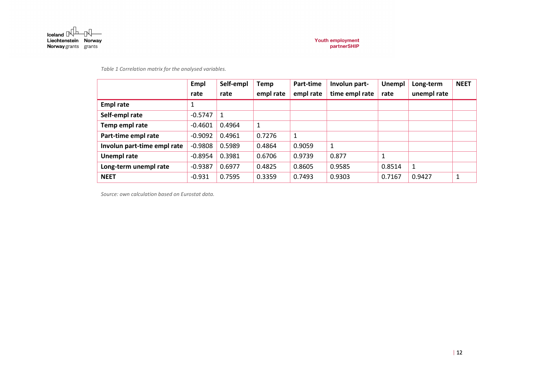

*Table 1 Correlation matrix for the analysed variables.*

|                             | Empl      | Self-empl | <b>Temp</b> | Part-time | Involun part-  | Unempl | Long-term   | <b>NEET</b> |
|-----------------------------|-----------|-----------|-------------|-----------|----------------|--------|-------------|-------------|
|                             | rate      | rate      | empl rate   | empl rate | time empl rate | rate   | unempl rate |             |
| <b>Empl rate</b>            | 1         |           |             |           |                |        |             |             |
| Self-empl rate              | $-0.5747$ |           |             |           |                |        |             |             |
| Temp empl rate              | $-0.4601$ | 0.4964    | 1           |           |                |        |             |             |
| Part-time empl rate         | $-0.9092$ | 0.4961    | 0.7276      | 1         |                |        |             |             |
| Involun part-time empl rate | $-0.9808$ | 0.5989    | 0.4864      | 0.9059    | 1              |        |             |             |
| Unempl rate                 | $-0.8954$ | 0.3981    | 0.6706      | 0.9739    | 0.877          | 1      |             |             |
| Long-term unempl rate       | $-0.9387$ | 0.6977    | 0.4825      | 0.8605    | 0.9585         | 0.8514 | 1           |             |
| <b>NEET</b>                 | $-0.931$  | 0.7595    | 0.3359      | 0.7493    | 0.9303         | 0.7167 | 0.9427      |             |

<span id="page-11-0"></span>*Source: own calculation based on Eurostat data.*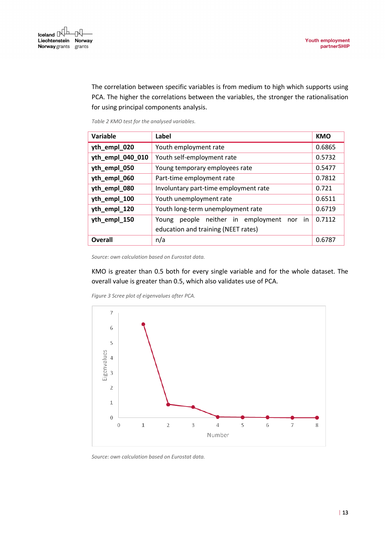

The correlation between specific variables is from medium to high which supports using PCA. The higher the correlations between the variables, the stronger the rationalisation for using principal components analysis.

*Table 2 KMO test for the analysed variables.*

<span id="page-12-1"></span>

| Variable         | Label                                           | <b>KMO</b> |  |
|------------------|-------------------------------------------------|------------|--|
| yth_empl_020     | Youth employment rate                           | 0.6865     |  |
| yth_empl_040_010 | Youth self-employment rate                      | 0.5732     |  |
| yth_empl_050     | Young temporary employees rate                  | 0.5477     |  |
| yth_empl_060     | Part-time employment rate                       | 0.7812     |  |
| yth_empl_080     | Involuntary part-time employment rate           | 0.721      |  |
| yth_empl_100     | Youth unemployment rate                         | 0.6511     |  |
| yth_empl_120     | Youth long-term unemployment rate               | 0.6719     |  |
| yth_empl_150     | people neither in employment<br>nor in<br>Young | 0.7112     |  |
|                  | education and training (NEET rates)             |            |  |
| Overall          | n/a                                             | 0.6787     |  |

*Source: own calculation based on Eurostat data.*

KMO is greater than 0.5 both for every single variable and for the whole dataset. The overall value is greater than 0.5, which also validates use of PCA.

<span id="page-12-0"></span>

*Figure 3 Scree plot of eigenvalues after PCA.*

*Source: own calculation based on Eurostat data.*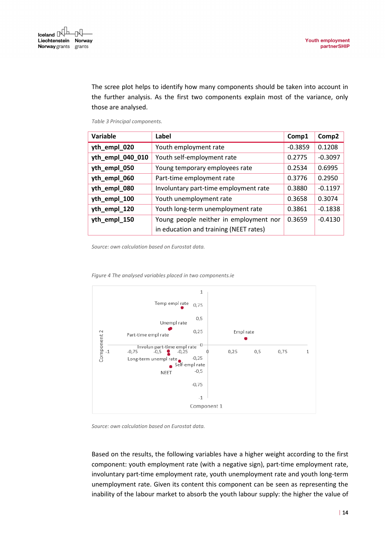The scree plot helps to identify how many components should be taken into account in the further analysis. As the first two components explain most of the variance, only those are analysed.

*Table 3 Principal components.*

<span id="page-13-1"></span>

| Variable         | Label                                  | Comp1     | Comp2     |
|------------------|----------------------------------------|-----------|-----------|
| yth_empl_020     | Youth employment rate                  | $-0.3859$ | 0.1208    |
| yth_empl_040_010 | Youth self-employment rate             | 0.2775    | $-0.3097$ |
| yth_empl_050     | Young temporary employees rate         | 0.2534    | 0.6995    |
| yth_empl_060     | Part-time employment rate              | 0.3776    | 0.2950    |
| yth_empl_080     | Involuntary part-time employment rate  | 0.3880    | $-0.1197$ |
| yth_empl_100     | Youth unemployment rate                | 0.3658    | 0.3074    |
| yth_empl_120     | Youth long-term unemployment rate      | 0.3861    | $-0.1838$ |
| yth_empl_150     | Young people neither in employment nor | 0.3659    | $-0.4130$ |
|                  | in education and training (NEET rates) |           |           |

*Source: own calculation based on Eurostat data.*

<span id="page-13-0"></span>

*Figure 4 The analysed variables placed in two components.ie*

*Source: own calculation based on Eurostat data.*

Based on the results, the following variables have a higher weight according to the first component: youth employment rate (with a negative sign), part-time employment rate, involuntary part-time employment rate, youth unemployment rate and youth long-term unemployment rate. Given its content this component can be seen as representing the inability of the labour market to absorb the youth labour supply: the higher the value of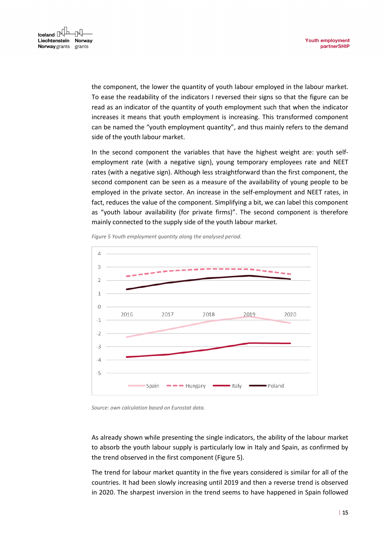the component, the lower the quantity of youth labour employed in the labour market. To ease the readability of the indicators I reversed their signs so that the figure can be read as an indicator of the quantity of youth employment such that when the indicator increases it means that youth employment is increasing. This transformed component can be named the "youth employment quantity", and thus mainly refers to the demand side of the youth labour market.

In the second component the variables that have the highest weight are: youth selfemployment rate (with a negative sign), young temporary employees rate and NEET rates (with a negative sign). Although less straightforward than the first component, the second component can be seen as a measure of the availability of young people to be employed in the private sector. An increase in the self-employment and NEET rates, in fact, reduces the value of the component. Simplifying a bit, we can label this component as "youth labour availability (for private firms)". The second component is therefore mainly connected to the supply side of the youth labour market.

<span id="page-14-0"></span>

*Figure 5 Youth employment quantity along the analysed period.*



As already shown while presenting the single indicators, the ability of the labour market to absorb the youth labour supply is particularly low in Italy and Spain, as confirmed by the trend observed in the first component (Figure 5).

The trend for labour market quantity in the five years considered is similar for all of the countries. It had been slowly increasing until 2019 and then a reverse trend is observed in 2020. The sharpest inversion in the trend seems to have happened in Spain followed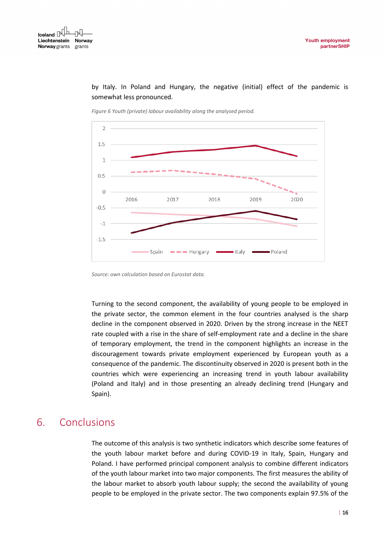<span id="page-15-1"></span>

by Italy. In Poland and Hungary, the negative (initial) effect of the pandemic is somewhat less pronounced.

*Figure 6 Youth (private) labour availability along the analysed period.*

Turning to the second component, the availability of young people to be employed in the private sector, the common element in the four countries analysed is the sharp decline in the component observed in 2020. Driven by the strong increase in the NEET rate coupled with a rise in the share of self-employment rate and a decline in the share of temporary employment, the trend in the component highlights an increase in the discouragement towards private employment experienced by European youth as a consequence of the pandemic. The discontinuity observed in 2020 is present both in the countries which were experiencing an increasing trend in youth labour availability (Poland and Italy) and in those presenting an already declining trend (Hungary and Spain).

## <span id="page-15-0"></span>6. Conclusions

The outcome of this analysis is two synthetic indicators which describe some features of the youth labour market before and during COVID-19 in Italy, Spain, Hungary and Poland. I have performed principal component analysis to combine different indicators of the youth labour market into two major components. The first measures the ability of the labour market to absorb youth labour supply; the second the availability of young people to be employed in the private sector. The two components explain 97.5% of the

*Source: own calculation based on Eurostat data.*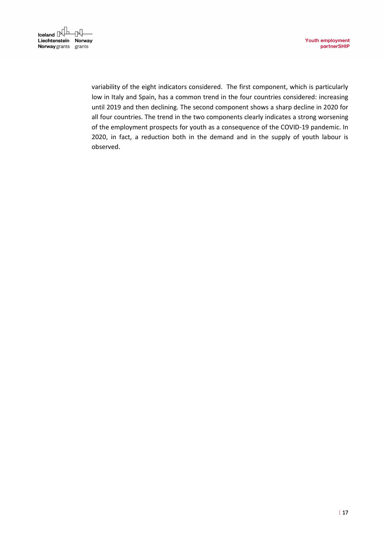

variability of the eight indicators considered. The first component, which is particularly low in Italy and Spain, has a common trend in the four countries considered: increasing until 2019 and then declining. The second component shows a sharp decline in 2020 for all four countries. The trend in the two components clearly indicates a strong worsening of the employment prospects for youth as a consequence of the COVID-19 pandemic. In 2020, in fact, a reduction both in the demand and in the supply of youth labour is observed.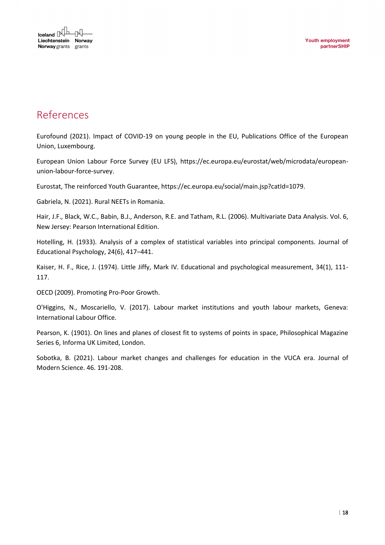

## <span id="page-17-0"></span>References

Eurofound (2021). Impact of COVID-19 on young people in the EU, Publications Office of the European Union, Luxembourg.

European Union Labour Force Survey (EU LFS), https://ec.europa.eu/eurostat/web/microdata/europeanunion-labour-force-survey.

Eurostat, The reinforced Youth Guarantee, https://ec.europa.eu/social/main.jsp?catId=1079.

Gabriela, N. (2021). Rural NEETs in Romania.

Hair, J.F., Black, W.C., Babin, B.J., Anderson, R.E. and Tatham, R.L. (2006). Multivariate Data Analysis. Vol. 6, New Jersey: Pearson International Edition.

Hotelling, H. (1933). Analysis of a complex of statistical variables into principal components. Journal of Educational Psychology, 24(6), 417–441.

Kaiser, H. F., Rice, J. (1974). Little Jiffy, Mark IV. Educational and psychological measurement, 34(1), 111-117.

OECD (2009). Promoting Pro-Poor Growth.

O'Higgins, N., Moscariello, V. (2017). Labour market institutions and youth labour markets, Geneva: International Labour Office.

Pearson, K. (1901). On lines and planes of closest fit to systems of points in space, Philosophical Magazine Series 6, Informa UK Limited, London.

Sobotka, B. (2021). Labour market changes and challenges for education in the VUCA era. Journal of Modern Science. 46. 191-208.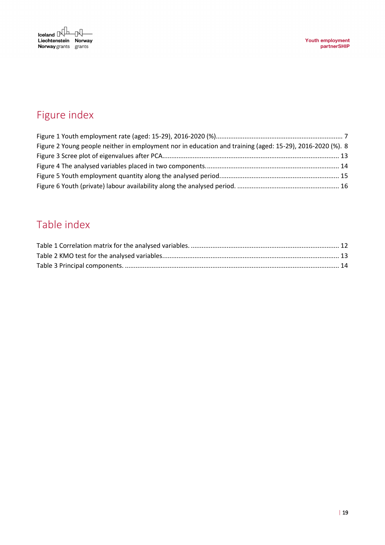

# <span id="page-18-0"></span>Figure index

| Figure 2 Young people neither in employment nor in education and training (aged: 15-29), 2016-2020 (%). 8 |  |
|-----------------------------------------------------------------------------------------------------------|--|
|                                                                                                           |  |
|                                                                                                           |  |
|                                                                                                           |  |
|                                                                                                           |  |

# <span id="page-18-1"></span>Table index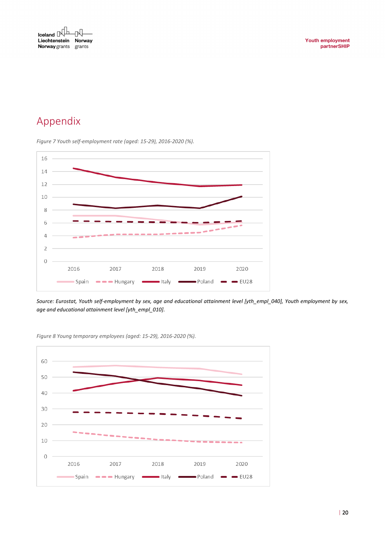

# <span id="page-19-0"></span>Appendix

*Figure 7 Youth self-employment rate (aged: 15-29), 2016-2020 (%).*



*Source: Eurostat, Youth self-employment by sex, age and educational attainment level [yth\_empl\_040], Youth employment by sex, age and educational attainment level [yth\_empl\_010].*



*Figure 8 Young temporary employees (aged: 15-29), 2016-2020 (%).*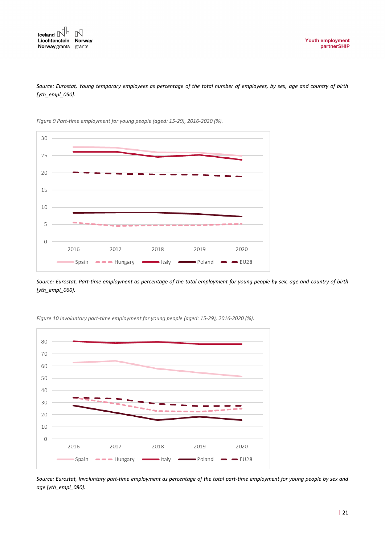



*Figure 9 Part-time employment for young people (aged: 15-29), 2016-2020 (%).*

*Source: Eurostat, Part-time employment as percentage of the total employment for young people by sex, age and country of birth [yth\_empl\_060].*



*Figure 10 Involuntary part-time employment for young people (aged: 15-29), 2016-2020 (%).*

*Source: Eurostat, Involuntary part-time employment as percentage of the total part-time employment for young people by sex and age [yth\_empl\_080].*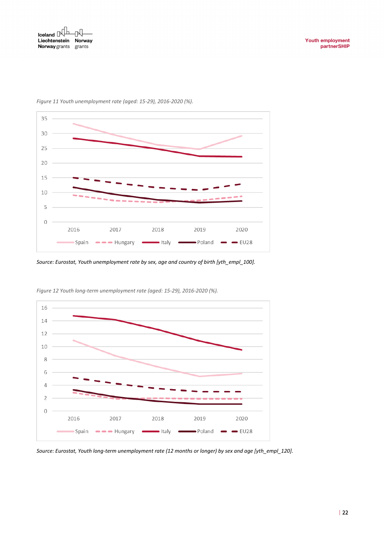

*Figure 11 Youth unemployment rate (aged: 15-29), 2016-2020 (%).*

*Source: Eurostat, Youth unemployment rate by sex, age and country of birth [yth\_empl\_100].*



*Figure 12 Youth long-term unemployment rate (aged: 15-29), 2016-2020 (%).*

*Source: Eurostat, Youth long-term unemployment rate (12 months or longer) by sex and age [yth\_empl\_120].*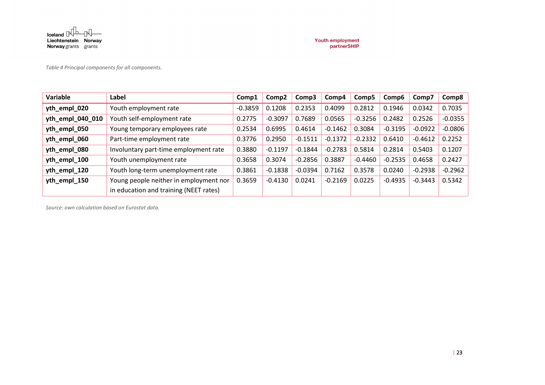

*Table 4 Principal components for all components.*

| Variable         | Label                                  | Comp1     | Comp <sub>2</sub> | Comp3     | Comp4     | Comp5     | Comp6     | Comp7     | Comp8     |
|------------------|----------------------------------------|-----------|-------------------|-----------|-----------|-----------|-----------|-----------|-----------|
| yth_empl_020     | Youth employment rate                  | $-0.3859$ | 0.1208            | 0.2353    | 0.4099    | 0.2812    | 0.1946    | 0.0342    | 0.7035    |
| yth_empl_040_010 | Youth self-employment rate             | 0.2775    | $-0.3097$         | 0.7689    | 0.0565    | $-0.3256$ | 0.2482    | 0.2526    | $-0.0355$ |
| yth_empl_050     | Young temporary employees rate         | 0.2534    | 0.6995            | 0.4614    | $-0.1462$ | 0.3084    | $-0.3195$ | $-0.0922$ | $-0.0806$ |
| yth_empl_060     | Part-time employment rate              | 0.3776    | 0.2950            | $-0.1511$ | $-0.1372$ | $-0.2332$ | 0.6410    | $-0.4612$ | 0.2252    |
| yth_empl_080     | Involuntary part-time employment rate  | 0.3880    | $-0.1197$         | $-0.1844$ | $-0.2783$ | 0.5814    | 0.2814    | 0.5403    | 0.1207    |
| yth_empl_100     | Youth unemployment rate                | 0.3658    | 0.3074            | $-0.2856$ | 0.3887    | $-0.4460$ | $-0.2535$ | 0.4658    | 0.2427    |
| yth_empl_120     | Youth long-term unemployment rate      | 0.3861    | $-0.1838$         | $-0.0394$ | 0.7162    | 0.3578    | 0.0240    | $-0.2938$ | $-0.2962$ |
| yth_empl_150     | Young people neither in employment nor | 0.3659    | $-0.4130$         | 0.0241    | $-0.2169$ | 0.0225    | $-0.4935$ | $-0.3443$ | 0.5342    |
|                  | in education and training (NEET rates) |           |                   |           |           |           |           |           |           |

*Source: own calculation based on Eurostat data.*